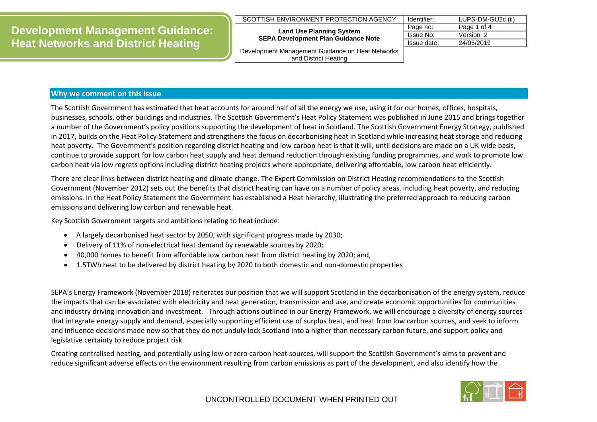#### SCOTTISH ENVIRONMENT PROTECTION AGENCY

#### **Land Use Planning System SEPA Development Plan Guidance Note**

| Identifier: | LUPS-DM-GU2c (ii) |
|-------------|-------------------|
| Page no:    | Page 1 of 4       |
| Issue No:   | Version 2         |
| Issue date: | 24/06/2019        |

Development Management Guidance on Heat Networks and District Heating

## **Why we comment on this issue**

The Scottish Government has estimated that heat accounts for around half of all the energy we use, using it for our homes, offices, hospitals, businesses, schools, other buildings and industries. The Scottish Government's Heat Policy Statement was published in June 2015 and brings together a number of the Government's policy positions supporting the development of heat in Scotland. The Scottish Government Energy Strategy, published in 2017, builds on the Heat Policy Statement and strengthens the focus on decarbonising heat in Scotland while increasing heat storage and reducing heat poverty. The Government's position regarding district heating and low carbon heat is that it will, until decisions are made on a UK wide basis, continue to provide support for low carbon heat supply and heat demand reduction through existing funding programmes, and work to promote low carbon heat via low regrets options including district heating projects where appropriate, delivering affordable, low carbon heat efficiently.

There are clear links between district heating and climate change. The Expert Commission on District Heating recommendations to the Scottish Government (November 2012) sets out the benefits that district heating can have on a number of policy areas, including heat poverty, and reducing emissions. In the Heat Policy Statement the Government has established a Heat hierarchy, illustrating the preferred approach to reducing carbon emissions and delivering low carbon and renewable heat.

Key Scottish Government targets and ambitions relating to heat include:

- A largely decarbonised heat sector by 2050, with significant progress made by 2030;
- Delivery of 11% of non-electrical heat demand by renewable sources by 2020;
- 40,000 homes to benefit from affordable low carbon heat from district heating by 2020; and,
- 1.5TWh heat to be delivered by district heating by 2020 to both domestic and non-domestic properties

SEPA's Energy Framework (November 2018) reiterates our position that we will support Scotland in the decarbonisation of the energy system, reduce the impacts that can be associated with electricity and heat generation, transmission and use, and create economic opportunities for communities and industry driving innovation and investment. Through actions outlined in our Energy Framework, we will encourage a diversity of energy sources that integrate energy supply and demand, especially supporting efficient use of surplus heat, and heat from low carbon sources, and seek to inform and influence decisions made now so that they do not unduly lock Scotland into a higher than necessary carbon future, and support policy and legislative certainty to reduce project risk.

Creating centralised heating, and potentially using low or zero carbon heat sources, will support the Scottish Government's aims to prevent and reduce significant adverse effects on the environment resulting from carbon emissions as part of the development, and also identify how the

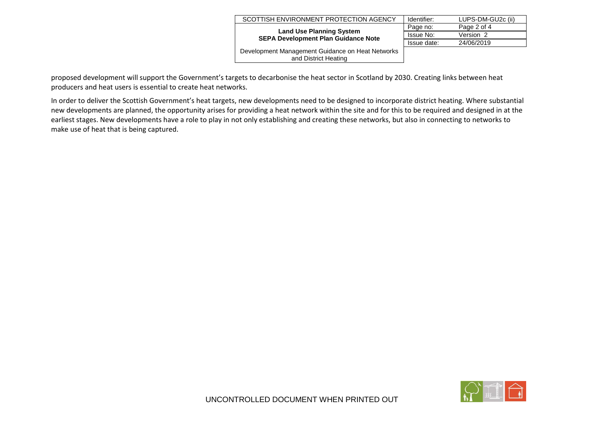| SCOTTISH ENVIRONMENT PROTECTION AGENCY                                        | Identifier: | LUPS-DM-GU2c (ii) |
|-------------------------------------------------------------------------------|-------------|-------------------|
|                                                                               | Page no:    | Page 2 of 4       |
| <b>Land Use Planning System</b><br><b>SEPA Development Plan Guidance Note</b> | Issue No:   | Version 2         |
|                                                                               | Issue date: | 24/06/2019        |
| Development Management Guidance on Heat Networks<br>and District Heating      |             |                   |

proposed development will support the Government's targets to decarbonise the heat sector in Scotland by 2030. Creating links between heat producers and heat users is essential to create heat networks.

In order to deliver the Scottish Government's heat targets, new developments need to be designed to incorporate district heating. Where substantial new developments are planned, the opportunity arises for providing a heat network within the site and for this to be required and designed in at the earliest stages. New developments have a role to play in not only establishing and creating these networks, but also in connecting to networks to make use of heat that is being captured.

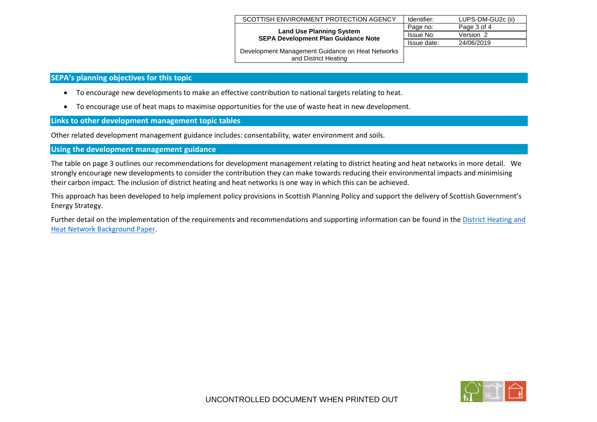| SCOTTISH ENVIRONMENT PROTECTION AGENCY                                        | Identifier: | LUPS-DM-GU2c (ii) |
|-------------------------------------------------------------------------------|-------------|-------------------|
|                                                                               | Page no:    | Page 3 of 4       |
| <b>Land Use Planning System</b><br><b>SEPA Development Plan Guidance Note</b> | Issue No:   | Version 2         |
|                                                                               | Issue date: | 24/06/2019        |
| Development Management Guidance on Heat Networks                              |             |                   |

# **SEPA's planning objectives for this topic**

- To encourage new developments to make an effective contribution to national targets relating to heat.
- To encourage use of heat maps to maximise opportunities for the use of waste heat in new development.

## **Links to other development management topic tables**

Other related development management guidance includes: consentability, water environment and soils.

# **Using the development management guidance**

The table on page 3 outlines our recommendations for development management relating to district heating and heat networks in more detail. We strongly encourage new developments to consider the contribution they can make towards reducing their environmental impacts and minimising their carbon impact. The inclusion of district heating and heat networks is one way in which this can be achieved.

and District Heating

This approach has been developed to help implement policy provisions in Scottish Planning Policy and support the delivery of Scottish Government's Energy Strategy.

Further detail on the implementation of the requirements and recommendations and supporting information can be found in the [District Heating and](http://www.sepa.org.uk/media/162921/lups_bp_gu2c_ii_land_use_planning_background_paper_on_heat_networks_and_district_heating.pdf)  Heat Network [Background Paper.](http://www.sepa.org.uk/media/162921/lups_bp_gu2c_ii_land_use_planning_background_paper_on_heat_networks_and_district_heating.pdf)